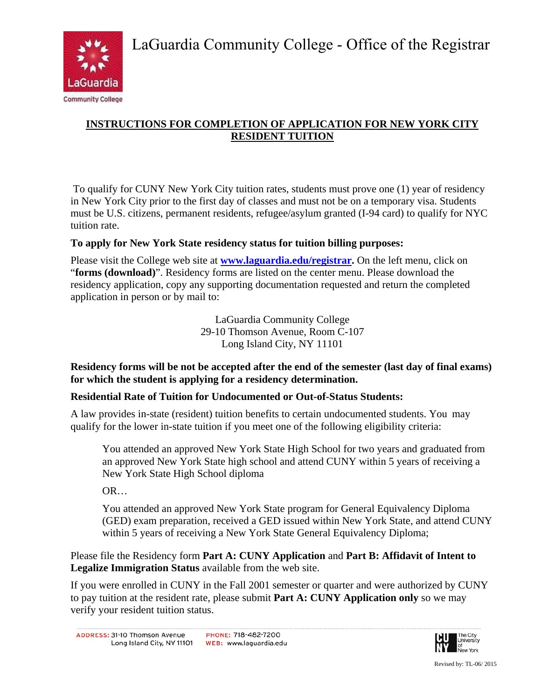

# **INSTRUCTIONS FOR COMPLETION OF APPLICATION FOR NEW YORK CITY RESIDENT TUITION**

 To qualify for CUNY New York City tuition rates, students must prove one (1) year of residency in New York City prior to the first day of classes and must not be on a temporary visa. Students must be U.S. citizens, permanent residents, refugee/asylum granted (I-94 card) to qualify for NYC tuition rate.

## **To apply for New York State residency status for tuition billing purposes:**

Please visit the College web site at **www.laguardia.edu/registrar.** On the left menu, click on "**forms (download)**". Residency forms are listed on the center menu. Please download the residency application, copy any supporting documentation requested and return the completed application in person or by mail to:

> LaGuardia Community College 29-10 Thomson Avenue, Room C-107 Long Island City, NY 11101

**Residency forms will be not be accepted after the end of the semester (last day of final exams) for which the student is applying for a residency determination.** 

## **Residential Rate of Tuition for Undocumented or Out-of-Status Students:**

A law provides in-state (resident) tuition benefits to certain undocumented students. You may qualify for the lower in-state tuition if you meet one of the following eligibility criteria:

You attended an approved New York State High School for two years and graduated from an approved New York State high school and attend CUNY within 5 years of receiving a New York State High School diploma

OR…

You attended an approved New York State program for General Equivalency Diploma (GED) exam preparation, received a GED issued within New York State, and attend CUNY within 5 years of receiving a New York State General Equivalency Diploma;

Please file the Residency form **Part A: CUNY Application** and **Part B: Affidavit of Intent to Legalize Immigration Status** available from the web site.

If you were enrolled in CUNY in the Fall 2001 semester or quarter and were authorized by CUNY to pay tuition at the resident rate, please submit **Part A: CUNY Application only** so we may verify your resident tuition status.